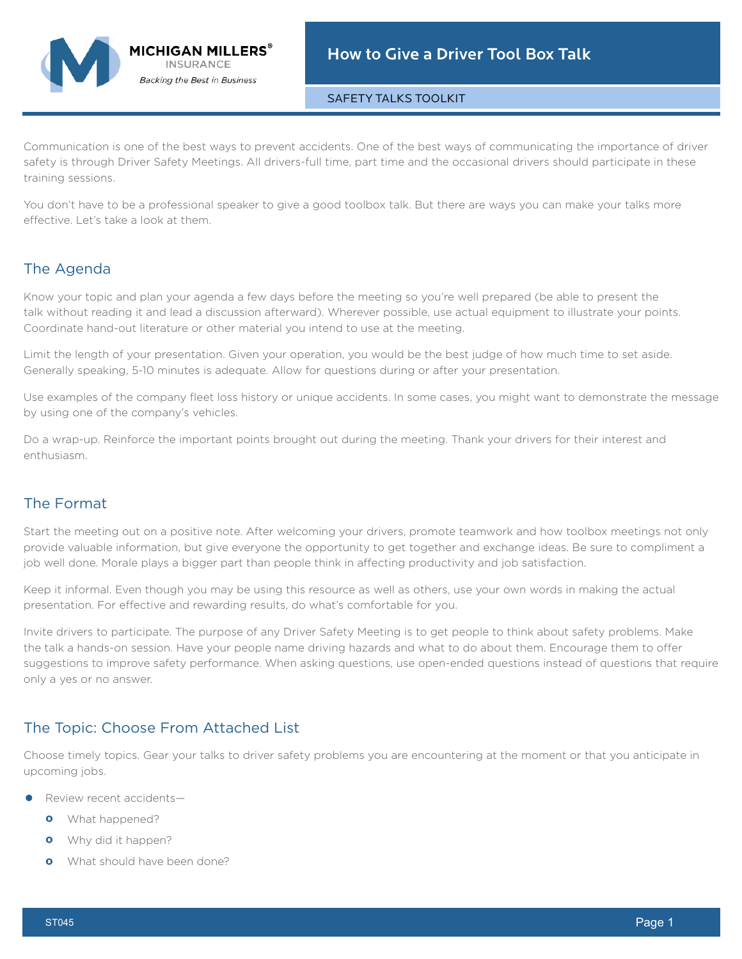SAFETY TALKS TOOLKIT

Communication is one of the best ways to prevent accidents. One of the best ways of communicating the importance of driver safety is through Driver Safety Meetings. All drivers-full time, part time and the occasional drivers should participate in these training sessions.

You don't have to be a professional speaker to give a good toolbox talk. But there are ways you can make your talks more effective. Let's take a look at them.

# The Agenda

Know your topic and plan your agenda a few days before the meeting so you're well prepared (be able to present the talk without reading it and lead a discussion afterward). Wherever possible, use actual equipment to illustrate your points. Coordinate hand-out literature or other material you intend to use at the meeting.

Limit the length of your presentation. Given your operation, you would be the best judge of how much time to set aside. Generally speaking, 5-10 minutes is adequate. Allow for questions during or after your presentation.

Use examples of the company fleet loss history or unique accidents. In some cases, you might want to demonstrate the message by using one of the company's vehicles.

Do a wrap-up. Reinforce the important points brought out during the meeting. Thank your drivers for their interest and enthusiasm.

# The Format

Start the meeting out on a positive note. After welcoming your drivers, promote teamwork and how toolbox meetings not only provide valuable information, but give everyone the opportunity to get together and exchange ideas. Be sure to compliment a job well done. Morale plays a bigger part than people think in affecting productivity and job satisfaction.

Keep it informal. Even though you may be using this resource as well as others, use your own words in making the actual presentation. For effective and rewarding results, do what's comfortable for you.

Invite drivers to participate. The purpose of any Driver Safety Meeting is to get people to think about safety problems. Make the talk a hands-on session. Have your people name driving hazards and what to do about them. Encourage them to offer suggestions to improve safety performance. When asking questions, use open-ended questions instead of questions that require only a yes or no answer.

### The Topic: Choose From Attached List

MICHIGAN MILLERS $^\circ$ **INSURANCE Backing the Best in Business** 

Choose timely topics. Gear your talks to driver safety problems you are encountering at the moment or that you anticipate in upcoming jobs.

- **•** Review recent accidents—
	- **º** What happened?
	- **º** Why did it happen?
	- **º** What should have been done?